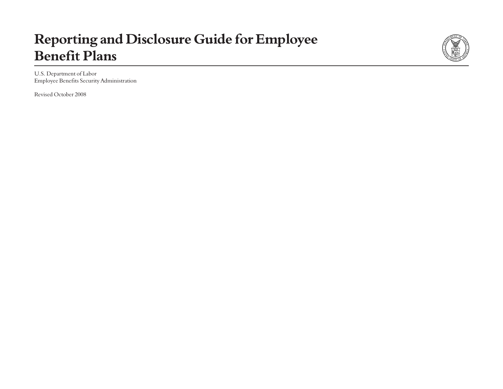# **Reporting and Disclosure Guide for Employee Benefit Plans**



U.S. Department of Labor Employee Benefits Security Administration

Revised October 2008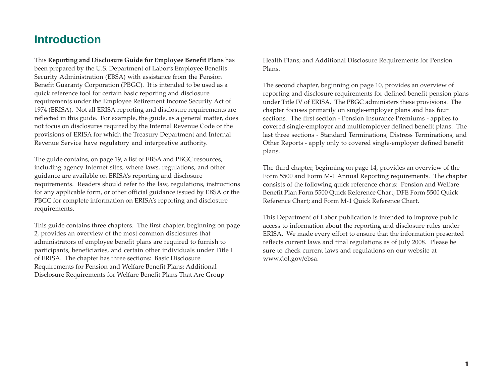### **Introduction**

This **Reporting and Disclosure Guide for Employee Benefit Plans** has been prepared by the U.S. Department of Labor's Employee Benefits Security Administration (EBSA) with assistance from the Pension Benefit Guaranty Corporation (PBGC). It is intended to be used as a quick reference tool for certain basic reporting and disclosure requirements under the Employee Retirement Income Security Act of 1974 (ERISA). Not all ERISA reporting and disclosure requirements are reflected in this guide. For example, the guide, as a general matter, does not focus on disclosures required by the Internal Revenue Code or the provisions of ERISA for which the Treasury Department and Internal Revenue Service have regulatory and interpretive authority.

The guide contains, on page 19, a list of EBSA and PBGC resources, including agency Internet sites, where laws, regulations, and other guidance are available on ERISA's reporting and disclosure requirements. Readers should refer to the law, regulations, instructions for any applicable form, or other official guidance issued by EBSA or the PBGC for complete information on ERISA's reporting and disclosure requirements.

This guide contains three chapters. The first chapter, beginning on page 2, provides an overview of the most common disclosures that administrators of employee benefit plans are required to furnish to participants, beneficiaries, and certain other individuals under Title I of ERISA. The chapter has three sections: Basic Disclosure Requirements for Pension and Welfare Benefit Plans; Additional Disclosure Requirements for Welfare Benefit Plans That Are Group

Health Plans; and Additional Disclosure Requirements for Pension Plans.

The second chapter, beginning on page 10, provides an overview of reporting and disclosure requirements for defined benefit pension plans under Title IV of ERISA. The PBGC administers these provisions. The chapter focuses primarily on single-employer plans and has four sections. The first section - Pension Insurance Premiums - applies to covered single-employer and multiemployer defined benefit plans. The last three sections - Standard Terminations, Distress Terminations, and Other Reports - apply only to covered single-employer defined benefit plans.

The third chapter, beginning on page 14, provides an overview of the Form 5500 and Form M-1 Annual Reporting requirements. The chapter consists of the following quick reference charts: Pension and Welfare Benefit Plan Form 5500 Quick Reference Chart; DFE Form 5500 Quick Reference Chart; and Form M-1 Quick Reference Chart.

This Department of Labor publication is intended to improve public access to information about the reporting and disclosure rules under ERISA. We made every effort to ensure that the information presented reflects current laws and final regulations as of July 2008. Please be sure to check current laws and regulations on our website at www.dol.gov/ebsa.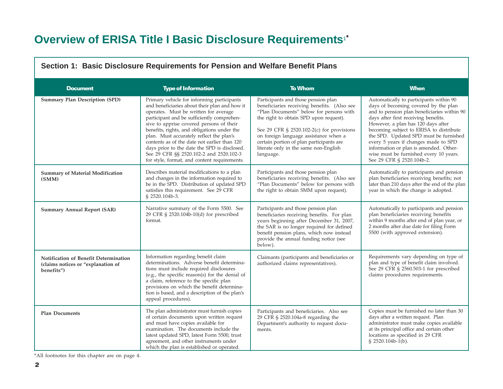## **Overview of ERISA Title I Basic Disclosure Requirements**1**\***

| <u>JECHON II. DASIC DISCIOSULE INEQUIFERIENTS IVI I ENSIQII ANU VVENALE DENENTI IANS</u>  |                                                                                                                                                                                                                                                                                                                                                                                                                                                                                                                      |                                                                                                                                                                                                                                                                                                                                                                 |                                                                                                                                                                                                                                                                                                                                                                                                                                                            |
|-------------------------------------------------------------------------------------------|----------------------------------------------------------------------------------------------------------------------------------------------------------------------------------------------------------------------------------------------------------------------------------------------------------------------------------------------------------------------------------------------------------------------------------------------------------------------------------------------------------------------|-----------------------------------------------------------------------------------------------------------------------------------------------------------------------------------------------------------------------------------------------------------------------------------------------------------------------------------------------------------------|------------------------------------------------------------------------------------------------------------------------------------------------------------------------------------------------------------------------------------------------------------------------------------------------------------------------------------------------------------------------------------------------------------------------------------------------------------|
| <b>Document</b>                                                                           | <b>Type of Information</b>                                                                                                                                                                                                                                                                                                                                                                                                                                                                                           | <b>To Whom</b>                                                                                                                                                                                                                                                                                                                                                  | <b>When</b>                                                                                                                                                                                                                                                                                                                                                                                                                                                |
| <b>Summary Plan Description (SPD)</b>                                                     | Primary vehicle for informing participants<br>and beneficiaries about their plan and how it<br>operates. Must be written for average<br>participant and be sufficiently comprehen-<br>sive to apprise covered persons of their<br>benefits, rights, and obligations under the<br>plan. Must accurately reflect the plan's<br>contents as of the date not earlier than 120<br>days prior to the date the SPD is disclosed.<br>See 29 CFR §§ 2520.102-2 and 2520.102-3<br>for style, format, and content requirements. | Participants and those pension plan<br>beneficiaries receiving benefits. (Also see<br>"Plan Documents" below for persons with<br>the right to obtain SPD upon request).<br>See 29 CFR § 2520.102-2(c) for provisions<br>on foreign language assistance when a<br>certain portion of plan participants are<br>literate only in the same non-English<br>language. | Automatically to participants within 90<br>days of becoming covered by the plan<br>and to pension plan beneficiaries within 90<br>days after first receiving benefits.<br>However, a plan has 120 days after<br>becoming subject to ERISA to distribute<br>the SPD. Updated SPD must be furnished<br>every 5 years if changes made to SPD<br>information or plan is amended. Other-<br>wise must be furnished every 10 years.<br>See 29 CFR § 2520.104b-2. |
| <b>Summary of Material Modification</b><br>(SMM)                                          | Describes material modifications to a plan<br>and changes in the information required to<br>be in the SPD. Distribution of updated SPD<br>satisfies this requirement. See 29 CFR<br>§ 2520.104b-3.                                                                                                                                                                                                                                                                                                                   | Participants and those pension plan<br>beneficiaries receiving benefits. (Also see<br>"Plan Documents" below for persons with<br>the right to obtain SMM upon request).                                                                                                                                                                                         | Automatically to participants and pension<br>plan beneficiaries receiving benefits; not<br>later than 210 days after the end of the plan<br>year in which the change is adopted.                                                                                                                                                                                                                                                                           |
| <b>Summary Annual Report (SAR)</b>                                                        | Narrative summary of the Form 5500. See<br>29 CFR § 2520.104b-10(d) for prescribed<br>format.                                                                                                                                                                                                                                                                                                                                                                                                                        | Participants and those pension plan<br>beneficiaries receiving benefits. For plan<br>years beginning after December 31, 2007,<br>the SAR is no longer required for defined<br>benefit pension plans, which now instead<br>provide the annual funding notice (see<br>below).                                                                                     | Automatically to participants and pension<br>plan beneficiaries receiving benefits<br>within 9 months after end of plan year, or<br>2 months after due date for filing Form<br>5500 (with approved extension).                                                                                                                                                                                                                                             |
| Notification of Benefit Determination<br>(claims notices or "explanation of<br>benefits") | Information regarding benefit claim<br>determinations. Adverse benefit determina-<br>tions must include required disclosures<br>(e.g., the specific reason(s) for the denial of<br>a claim, reference to the specific plan<br>provisions on which the benefit determina-<br>tion is based, and a description of the plan's<br>appeal procedures).                                                                                                                                                                    | Claimants (participants and beneficiaries or<br>authorized claims representatives).                                                                                                                                                                                                                                                                             | Requirements vary depending on type of<br>plan and type of benefit claim involved.<br>See 29 CFR § 2560.503-1 for prescribed<br>claims procedures requirements.                                                                                                                                                                                                                                                                                            |
| <b>Plan Documents</b>                                                                     | The plan administrator must furnish copies<br>of certain documents upon written request<br>and must have copies available for<br>examination. The documents include the<br>latest updated SPD, latest Form 5500, trust<br>agreement, and other instruments under<br>which the plan is established or operated.                                                                                                                                                                                                       | Participants and beneficiaries. Also see<br>29 CFR § 2520.104a-8 regarding the<br>Department's authority to request docu-<br>ments.                                                                                                                                                                                                                             | Copies must be furnished no later than 30<br>days after a written request. Plan<br>administrator must make copies available<br>at its principal office and certain other<br>locations as specified in 29 CFR<br>§ 2520.104b-1(b).                                                                                                                                                                                                                          |

**Section 1: Basic Disclosure Requirements for Pension and Welfare Benefit Plans**

\*All footnotes for this chapter are on page 4.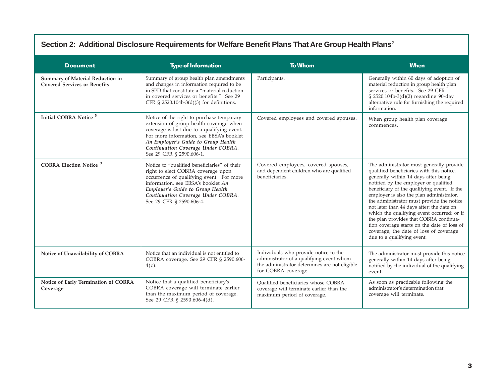### **Section 2: Additional Disclosure Requirements for Welfare Benefit Plans That Are Group Health Plans**<sup>2</sup>

| <b>Document</b>                                                                | <b>Type of Information</b>                                                                                                                                                                                                                                                               | <b>To Whom</b>                                                                                                                                            | <b>When</b>                                                                                                                                                                                                                                                                                                                                                                                                                                                                                                                                                                |
|--------------------------------------------------------------------------------|------------------------------------------------------------------------------------------------------------------------------------------------------------------------------------------------------------------------------------------------------------------------------------------|-----------------------------------------------------------------------------------------------------------------------------------------------------------|----------------------------------------------------------------------------------------------------------------------------------------------------------------------------------------------------------------------------------------------------------------------------------------------------------------------------------------------------------------------------------------------------------------------------------------------------------------------------------------------------------------------------------------------------------------------------|
| <b>Summary of Material Reduction in</b><br><b>Covered Services or Benefits</b> | Summary of group health plan amendments<br>and changes in information required to be<br>in SPD that constitute a "material reduction<br>in covered services or benefits." See 29<br>CFR § $2520.104b-3(d)(3)$ for definitions.                                                           | Participants.                                                                                                                                             | Generally within 60 days of adoption of<br>material reduction in group health plan<br>services or benefits. See 29 CFR<br>§ 2520.104b-3(d)(2) regarding 90-day<br>alternative rule for furnishing the required<br>information.                                                                                                                                                                                                                                                                                                                                             |
| Initial COBRA Notice <sup>3</sup>                                              | Notice of the right to purchase temporary<br>extension of group health coverage when<br>coverage is lost due to a qualifying event.<br>For more information, see EBSA's booklet<br>An Employer's Guide to Group Health<br>Continuation Coverage Under COBRA.<br>See 29 CFR § 2590.606-1. | Covered employees and covered spouses.                                                                                                                    | When group health plan coverage<br>commences.                                                                                                                                                                                                                                                                                                                                                                                                                                                                                                                              |
| <b>COBRA Election Notice<sup>3</sup></b>                                       | Notice to "qualified beneficiaries" of their<br>right to elect COBRA coverage upon<br>occurrence of qualifying event. For more<br>information, see EBSA's booklet An<br>Employer's Guide to Group Health<br>Continuation Coverage Under COBRA.<br>See 29 CFR § 2590.606-4.               | Covered employees, covered spouses,<br>and dependent children who are qualified<br>beneficiaries.                                                         | The administrator must generally provide<br>qualified beneficiaries with this notice,<br>generally within 14 days after being<br>notified by the employer or qualified<br>beneficiary of the qualifying event. If the<br>employer is also the plan administrator,<br>the administrator must provide the notice<br>not later than 44 days after: the date on<br>which the qualifying event occurred; or if<br>the plan provides that COBRA continua-<br>tion coverage starts on the date of loss of<br>coverage, the date of loss of coverage<br>due to a qualifying event. |
| Notice of Unavailability of COBRA                                              | Notice that an individual is not entitled to<br>COBRA coverage. See 29 CFR § 2590.606-<br>$4(c)$ .                                                                                                                                                                                       | Individuals who provide notice to the<br>administrator of a qualifying event whom<br>the administrator determines are not eligible<br>for COBRA coverage. | The administrator must provide this notice<br>generally within 14 days after being<br>notified by the individual of the qualifying<br>event.                                                                                                                                                                                                                                                                                                                                                                                                                               |
| Notice of Early Termination of COBRA<br>Coverage                               | Notice that a qualified beneficiary's<br>COBRA coverage will terminate earlier<br>than the maximum period of coverage.<br>See 29 CFR § 2590.606-4(d).                                                                                                                                    | Oualified beneficiaries whose COBRA<br>coverage will terminate earlier than the<br>maximum period of coverage.                                            | As soon as practicable following the<br>administrator's determination that<br>coverage will terminate.                                                                                                                                                                                                                                                                                                                                                                                                                                                                     |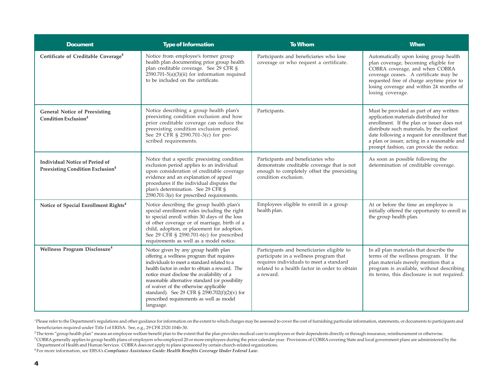| <b>Document</b>                                                                       | <b>Type of Information</b>                                                                                                                                                                                                                                                                                                                                                                                                                | <b>To Whom</b>                                                                                                                                                                                | <b>When</b>                                                                                                                                                                                                                                                                                                             |
|---------------------------------------------------------------------------------------|-------------------------------------------------------------------------------------------------------------------------------------------------------------------------------------------------------------------------------------------------------------------------------------------------------------------------------------------------------------------------------------------------------------------------------------------|-----------------------------------------------------------------------------------------------------------------------------------------------------------------------------------------------|-------------------------------------------------------------------------------------------------------------------------------------------------------------------------------------------------------------------------------------------------------------------------------------------------------------------------|
| Certificate of Creditable Coverage <sup>4</sup>                                       | Notice from employee's former group<br>health plan documenting prior group health<br>plan creditable coverage. See 29 CFR §<br>$2590.701 - 5(a)(3)(ii)$ for information required<br>to be included on the certificate.                                                                                                                                                                                                                    | Participants and beneficiaries who lose<br>coverage or who request a certificate.                                                                                                             | Automatically upon losing group health<br>plan coverage, becoming eligible for<br>COBRA coverage, and when COBRA<br>coverage ceases. A certificate may be<br>requested free of charge anytime prior to<br>losing coverage and within 24 months of<br>losing coverage.                                                   |
| <b>General Notice of Preexisting</b><br>Condition Exclusion <sup>4</sup>              | Notice describing a group health plan's<br>preexisting condition exclusion and how<br>prior creditable coverage can reduce the<br>preexisting condition exclusion period.<br>See 29 CFR § 2590.701-3(c) for pre-<br>scribed requirements.                                                                                                                                                                                                 | Participants.                                                                                                                                                                                 | Must be provided as part of any written<br>application materials distributed for<br>enrollment. If the plan or issuer does not<br>distribute such materials, by the earliest<br>date following a request for enrollment that<br>a plan or issuer, acting in a reasonable and<br>prompt fashion, can provide the notice. |
| <b>Individual Notice of Period of</b><br>Preexisting Condition Exclusion <sup>4</sup> | Notice that a specific preexisting condition<br>exclusion period applies to an individual<br>upon consideration of creditable coverage<br>evidence and an explanation of appeal<br>procedures if the individual disputes the<br>plan's determination. See 29 CFR §<br>2590.701-3(e) for prescribed requirements.                                                                                                                          | Participants and beneficiaries who<br>demonstrate creditable coverage that is not<br>enough to completely offset the preexisting<br>condition exclusion.                                      | As soon as possible following the<br>determination of creditable coverage.                                                                                                                                                                                                                                              |
| Notice of Special Enrollment Rights <sup>4</sup>                                      | Notice describing the group health plan's<br>special enrollment rules including the right<br>to special enroll within 30 days of the loss<br>of other coverage or of marriage, birth of a<br>child, adoption, or placement for adoption.<br>See 29 CFR § 2590.701-6(c) for prescribed<br>requirements as well as a model notice.                                                                                                          | Employees eligible to enroll in a group<br>health plan.                                                                                                                                       | At or before the time an employee is<br>initially offered the opportunity to enroll in<br>the group health plan.                                                                                                                                                                                                        |
| Wellness Program Disclosure <sup>4</sup>                                              | Notice given by any group health plan<br>offering a wellness program that requires<br>individuals to meet a standard related to a<br>health factor in order to obtain a reward. The<br>notice must disclose the availability of a<br>reasonable alternative standard (or possibility<br>of waiver of the otherwise applicable<br>standard). See 29 CFR § $2590.702(f)(2)(v)$ for<br>prescribed requirements as well as model<br>language. | Participants and beneficiaries eligible to<br>participate in a wellness program that<br>requires individuals to meet a standard<br>related to a health factor in order to obtain<br>a reward. | In all plan materials that describe the<br>terms of the wellness program. If the<br>plan materials merely mention that a<br>program is available, without describing<br>its terms, this disclosure is not required.                                                                                                     |

<sup>1</sup>Please refer to the Department's regulations and other guidance for information on the extent to which charges may be assessed to cover the cost of furnishing particular information, statements, or documents to particip beneficiaries required under Title I of ERISA. See, e.g., 29 CFR 2520.104b-30.

<sup>2</sup>The term "group health plan" means an employee welfare benefit plan to the extent that the plan provides medical care to employees or their dependents directly or through insurance, reimbursement or otherwise.

<sup>3</sup> COBRA generally applies to group health plans of employers who employed 20 or more employees during the prior calendar year. Provisions of COBRA covering State and local government plans are administered by the Department of Health and Human Services. COBRA does not apply to plans sponsored by certain church-related organizations.

4 For more information, see EBSA's *Compliance Assistance Guide: Health Benefits Coverage Under Federal Law*.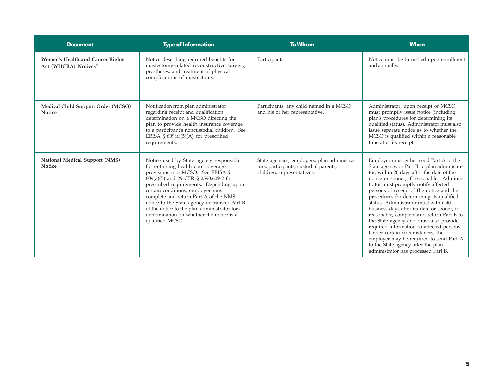| <b>Document</b>                                                      | <b>Type of Information</b>                                                                                                                                                                                                                                                                                                                                                                                                                            | <b>To Whom</b>                                                                                                      | <b>When</b>                                                                                                                                                                                                                                                                                                                                                                                                                                                                                                                                                                                                                                                                                             |
|----------------------------------------------------------------------|-------------------------------------------------------------------------------------------------------------------------------------------------------------------------------------------------------------------------------------------------------------------------------------------------------------------------------------------------------------------------------------------------------------------------------------------------------|---------------------------------------------------------------------------------------------------------------------|---------------------------------------------------------------------------------------------------------------------------------------------------------------------------------------------------------------------------------------------------------------------------------------------------------------------------------------------------------------------------------------------------------------------------------------------------------------------------------------------------------------------------------------------------------------------------------------------------------------------------------------------------------------------------------------------------------|
| Women's Health and Cancer Rights<br>Act (WHCRA) Notices <sup>4</sup> | Notice describing required benefits for<br>mastectomy-related reconstructive surgery,<br>prostheses, and treatment of physical<br>complications of mastectomy.                                                                                                                                                                                                                                                                                        | Participants.                                                                                                       | Notice must be furnished upon enrollment<br>and annually.                                                                                                                                                                                                                                                                                                                                                                                                                                                                                                                                                                                                                                               |
| Medical Child Support Order (MCSO)<br><b>Notice</b>                  | Notification from plan administrator<br>regarding receipt and qualification<br>determination on a MCSO directing the<br>plan to provide health insurance coverage<br>to a participant's noncustodial children. See<br>ERISA § $609(a)(5)(A)$ for prescribed<br>requirements.                                                                                                                                                                          | Participants, any child named in a MCSO,<br>and his or her representative.                                          | Administrator, upon receipt of MCSO,<br>must promptly issue notice (including<br>plan's procedures for determining its<br>qualified status). Administrator must also<br>issue separate notice as to whether the<br>MCSO is qualified within a reasonable<br>time after its receipt.                                                                                                                                                                                                                                                                                                                                                                                                                     |
| National Medical Support (NMS)<br><b>Notice</b>                      | Notice used by State agency responsible<br>for enforcing health care coverage<br>provisions in a MCSO. See ERISA §<br>609(a)(5) and 29 CFR § 2590.609-2 for<br>prescribed requirements. Depending upon<br>certain conditions, employer must<br>complete and return Part A of the NMS<br>notice to the State agency or transfer Part B<br>of the notice to the plan administrator for a<br>determination on whether the notice is a<br>qualified MCSO. | State agencies, employers, plan administra-<br>tors, participants, custodial parents,<br>children, representatives. | Employer must either send Part A to the<br>State agency, or Part B to plan administra-<br>tor, within 20 days after the date of the<br>notice or sooner, if reasonable. Adminis-<br>trator must promptly notify affected<br>persons of receipt of the notice and the<br>procedures for determining its qualified<br>status. Administrator must within 40-<br>business days after its date or sooner, if<br>reasonable, complete and return Part B to<br>the State agency and must also provide<br>required information to affected persons.<br>Under certain circumstances, the<br>employer may be required to send Part A<br>to the State agency after the plan<br>administrator has processed Part B. |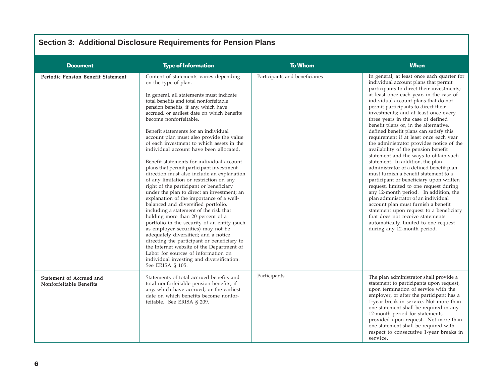| OCUNI J. AUUNUNA DISUUSUIG KEYUNGINGING IVI I GIISIUN I ANS |                                                                                                                                                                                                                                                                                                                                                                                                                                                                                                                                                                                                                                                                                                                                                                                                                                                                                                                                                                                                                                                                                                                                                                                                                                   |                                |                                                                                                                                                                                                                                                                                                                                                                                                                                                                                                                                                                                                                                                                                                                                                                                                                                                                                                                                                                                                                                                                                             |
|-------------------------------------------------------------|-----------------------------------------------------------------------------------------------------------------------------------------------------------------------------------------------------------------------------------------------------------------------------------------------------------------------------------------------------------------------------------------------------------------------------------------------------------------------------------------------------------------------------------------------------------------------------------------------------------------------------------------------------------------------------------------------------------------------------------------------------------------------------------------------------------------------------------------------------------------------------------------------------------------------------------------------------------------------------------------------------------------------------------------------------------------------------------------------------------------------------------------------------------------------------------------------------------------------------------|--------------------------------|---------------------------------------------------------------------------------------------------------------------------------------------------------------------------------------------------------------------------------------------------------------------------------------------------------------------------------------------------------------------------------------------------------------------------------------------------------------------------------------------------------------------------------------------------------------------------------------------------------------------------------------------------------------------------------------------------------------------------------------------------------------------------------------------------------------------------------------------------------------------------------------------------------------------------------------------------------------------------------------------------------------------------------------------------------------------------------------------|
| <b>Document</b>                                             | <b>Type of Information</b>                                                                                                                                                                                                                                                                                                                                                                                                                                                                                                                                                                                                                                                                                                                                                                                                                                                                                                                                                                                                                                                                                                                                                                                                        | <b>To Whom</b>                 | <b>When</b>                                                                                                                                                                                                                                                                                                                                                                                                                                                                                                                                                                                                                                                                                                                                                                                                                                                                                                                                                                                                                                                                                 |
| <b>Periodic Pension Benefit Statement</b>                   | Content of statements varies depending<br>on the type of plan.<br>In general, all statements must indicate<br>total benefits and total nonforfeitable<br>pension benefits, if any, which have<br>accrued, or earliest date on which benefits<br>become nonforfeitable.<br>Benefit statements for an individual<br>account plan must also provide the value<br>of each investment to which assets in the<br>individual account have been allocated.<br>Benefit statements for individual account<br>plans that permit participant investment<br>direction must also include an explanation<br>of any limitation or restriction on any<br>right of the participant or beneficiary<br>under the plan to direct an investment; an<br>explanation of the importance of a well-<br>balanced and diversified portfolio,<br>including a statement of the risk that<br>holding more than 20 percent of a<br>portfolio in the security of an entity (such<br>as employer securities) may not be<br>adequately diversified; and a notice<br>directing the participant or beneficiary to<br>the Internet website of the Department of<br>Labor for sources of information on<br>individual investing and diversification.<br>See ERISA § 105. | Participants and beneficiaries | In general, at least once each quarter for<br>individual account plans that permit<br>participants to direct their investments;<br>at least once each year, in the case of<br>individual account plans that do not<br>permit participants to direct their<br>investments; and at least once every<br>three years in the case of defined<br>benefit plans or, in the alternative,<br>defined benefit plans can satisfy this<br>requirement if at least once each year<br>the administrator provides notice of the<br>availability of the pension benefit<br>statement and the ways to obtain such<br>statement. In addition, the plan<br>administrator of a defined benefit plan<br>must furnish a benefit statement to a<br>participant or beneficiary upon written<br>request, limited to one request during<br>any 12-month period. In addition, the<br>plan administrator of an individual<br>account plan must furnish a benefit<br>statement upon request to a beneficiary<br>that does not receive statements<br>automatically, limited to one request<br>during any 12-month period. |
| Statement of Accrued and<br>Nonforfeitable Benefits         | Statements of total accrued benefits and<br>total nonforfeitable pension benefits, if<br>any, which have accrued, or the earliest<br>date on which benefits become nonfor-<br>feitable. See ERISA § 209.                                                                                                                                                                                                                                                                                                                                                                                                                                                                                                                                                                                                                                                                                                                                                                                                                                                                                                                                                                                                                          | Participants.                  | The plan administrator shall provide a<br>statement to participants upon request,<br>upon termination of service with the<br>employer, or after the participant has a<br>1-year break in service. Not more than<br>one statement shall be required in any<br>12-month period for statements<br>provided upon request. Not more than<br>one statement shall be required with<br>respect to consecutive 1-year breaks in<br>service.                                                                                                                                                                                                                                                                                                                                                                                                                                                                                                                                                                                                                                                          |

#### **Section 3: Additional Disclosure Requirements for Pension Plans**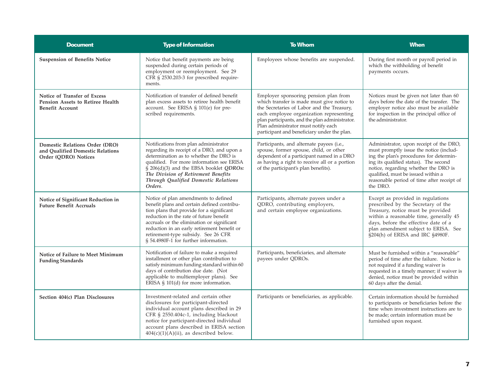| <b>Document</b>                                                                            | <b>Type of Information</b>                                                                                                                                                                                                                                                                                                                               | <b>To Whom</b>                                                                                                                                                                                                                                                                                                       | <b>When</b>                                                                                                                                                                                                                                                                                                    |
|--------------------------------------------------------------------------------------------|----------------------------------------------------------------------------------------------------------------------------------------------------------------------------------------------------------------------------------------------------------------------------------------------------------------------------------------------------------|----------------------------------------------------------------------------------------------------------------------------------------------------------------------------------------------------------------------------------------------------------------------------------------------------------------------|----------------------------------------------------------------------------------------------------------------------------------------------------------------------------------------------------------------------------------------------------------------------------------------------------------------|
| <b>Suspension of Benefits Notice</b>                                                       | Notice that benefit payments are being<br>suspended during certain periods of<br>employment or reemployment. See 29<br>CFR § 2530.203-3 for prescribed require-<br>ments.                                                                                                                                                                                | Employees whose benefits are suspended.                                                                                                                                                                                                                                                                              | During first month or payroll period in<br>which the withholding of benefit<br>payments occurs.                                                                                                                                                                                                                |
| Notice of Transfer of Excess<br>Pension Assets to Retiree Health<br><b>Benefit Account</b> | Notification of transfer of defined benefit<br>plan excess assets to retiree health benefit<br>account. See ERISA § 101(e) for pre-<br>scribed requirements.                                                                                                                                                                                             | Employer sponsoring pension plan from<br>which transfer is made must give notice to<br>the Secretaries of Labor and the Treasury,<br>each employee organization representing<br>plan participants, and the plan administrator.<br>Plan administrator must notify each<br>participant and beneficiary under the plan. | Notices must be given not later than 60<br>days before the date of the transfer. The<br>employer notice also must be available<br>for inspection in the principal office of<br>the administrator.                                                                                                              |
| Domestic Relations Order (DRO)<br>and Qualified Domestic Relations<br>Order (ODRO) Notices | Notifications from plan administrator<br>regarding its receipt of a DRO, and upon a<br>determination as to whether the DRO is<br>qualified. For more information see ERISA<br>§ 206(d)(3) and the EBSA booklet QDROs:<br>The Division of Retirement Benefits<br>Through Qualified Domestic Relations<br>Orders.                                          | Participants, and alternate payees (i.e.,<br>spouse, former spouse, child, or other<br>dependent of a participant named in a DRO<br>as having a right to receive all or a portion<br>of the participant's plan benefits).                                                                                            | Administrator, upon receipt of the DRO,<br>must promptly issue the notice (includ-<br>ing the plan's procedures for determin-<br>ing its qualified status). The second<br>notice, regarding whether the DRO is<br>qualified, must be issued within a<br>reasonable period of time after receipt of<br>the DRO. |
| Notice of Significant Reduction in<br><b>Future Benefit Accruals</b>                       | Notice of plan amendments to defined<br>benefit plans and certain defined contribu-<br>tion plans that provide for a significant<br>reduction in the rate of future benefit<br>accruals or the elimination or significant<br>reduction in an early retirement benefit or<br>retirement-type subsidy. See 26 CFR<br>§ 54.4980F-1 for further information. | Participants, alternate payees under a<br>QDRO, contributing employers,<br>and certain employee organizations.                                                                                                                                                                                                       | Except as provided in regulations<br>prescribed by the Secretary of the<br>Treasury, notice must be provided<br>within a reasonable time, generally 45<br>days, before the effective date of a<br>plan amendment subject to ERISA. See<br>§204(h) of ERISA and IRC §4980F.                                     |
| Notice of Failure to Meet Minimum<br><b>Funding Standards</b>                              | Notification of failure to make a required<br>installment or other plan contribution to<br>satisfy minimum funding standard within 60<br>days of contribution due date. (Not<br>applicable to multiemployer plans). See<br>ERISA $\S$ 101(d) for more information.                                                                                       | Participants, beneficiaries, and alternate<br>payees under QDROs.                                                                                                                                                                                                                                                    | Must be furnished within a "reasonable"<br>period of time after the failure. Notice is<br>not required if a funding waiver is<br>requested in a timely manner; if waiver is<br>denied, notice must be provided within<br>60 days after the denial.                                                             |
| Section 404(c) Plan Disclosures                                                            | Investment-related and certain other<br>disclosures for participant-directed<br>individual account plans described in 29<br>CFR § 2550.404c-1, including blackout<br>notice for participant-directed individual<br>account plans described in ERISA section<br>$404(c)(1)(A)(ii)$ , as described below.                                                  | Participants or beneficiaries, as applicable.                                                                                                                                                                                                                                                                        | Certain information should be furnished<br>to participants or beneficiaries before the<br>time when investment instructions are to<br>be made; certain information must be<br>furnished upon request.                                                                                                          |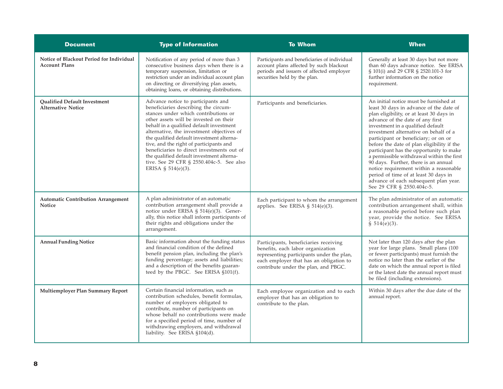| <b>Document</b>                                                  | <b>Type of Information</b>                                                                                                                                                                                                                                                                                                                                                                                                                                                                                 | <b>To Whom</b>                                                                                                                                                                                             | <b>When</b>                                                                                                                                                                                                                                                                                                                                                                                                                                                                                                                                                                                                                    |
|------------------------------------------------------------------|------------------------------------------------------------------------------------------------------------------------------------------------------------------------------------------------------------------------------------------------------------------------------------------------------------------------------------------------------------------------------------------------------------------------------------------------------------------------------------------------------------|------------------------------------------------------------------------------------------------------------------------------------------------------------------------------------------------------------|--------------------------------------------------------------------------------------------------------------------------------------------------------------------------------------------------------------------------------------------------------------------------------------------------------------------------------------------------------------------------------------------------------------------------------------------------------------------------------------------------------------------------------------------------------------------------------------------------------------------------------|
| Notice of Blackout Period for Individual<br><b>Account Plans</b> | Notification of any period of more than 3<br>consecutive business days when there is a<br>temporary suspension, limitation or<br>restriction under an individual account plan<br>on directing or diversifying plan assets,<br>obtaining loans, or obtaining distributions.                                                                                                                                                                                                                                 | Participants and beneficiaries of individual<br>account plans affected by such blackout<br>periods and issuers of affected employer<br>securities held by the plan.                                        | Generally at least 30 days but not more<br>than 60 days advance notice. See ERISA<br>§ 101(i) and 29 CFR § 2520.101-3 for<br>further information on the notice<br>requirement.                                                                                                                                                                                                                                                                                                                                                                                                                                                 |
| <b>Oualified Default Investment</b><br><b>Alternative Notice</b> | Advance notice to participants and<br>beneficiaries describing the circum-<br>stances under which contributions or<br>other assets will be invested on their<br>behalf in a qualified default investment<br>alternative, the investment objectives of<br>the qualified default investment alterna-<br>tive, and the right of participants and<br>beneficiaries to direct investments out of<br>the qualified default investment alterna-<br>tive. See 29 CFR § 2550.404c-5. See also<br>ERISA § 514(e)(3). | Participants and beneficiaries.                                                                                                                                                                            | An initial notice must be furnished at<br>least 30 days in advance of the date of<br>plan eligibility, or at least 30 days in<br>advance of the date of any first<br>investment in a qualified default<br>investment alternative on behalf of a<br>participant or beneficiary; or on or<br>before the date of plan eligibility if the<br>participant has the opportunity to make<br>a permissible withdrawal within the first<br>90 days. Further, there is an annual<br>notice requirement within a reasonable<br>period of time of at least 30 days in<br>advance of each subsequent plan year.<br>See 29 CFR § 2550.404c-5. |
| <b>Automatic Contribution Arrangement</b><br>Notice              | A plan administrator of an automatic<br>contribution arrangement shall provide a<br>notice under ERISA § 514(e)(3). Gener-<br>ally, this notice shall inform participants of<br>their rights and obligations under the<br>arrangement.                                                                                                                                                                                                                                                                     | Each participant to whom the arrangement<br>applies. See ERISA § 514(e)(3).                                                                                                                                | The plan administrator of an automatic<br>contribution arrangement shall, within<br>a reasonable period before such plan<br>year, provide the notice. See ERISA<br>\$514(e)(3).                                                                                                                                                                                                                                                                                                                                                                                                                                                |
| <b>Annual Funding Notice</b>                                     | Basic information about the funding status<br>and financial condition of the defined<br>benefit pension plan, including the plan's<br>funding percentage; assets and liabilities;<br>and a description of the benefits guaran-<br>teed by the PBGC. See ERISA §101(f).                                                                                                                                                                                                                                     | Participants, beneficiaries receiving<br>benefits, each labor organization<br>representing participants under the plan,<br>each employer that has an obligation to<br>contribute under the plan, and PBGC. | Not later than 120 days after the plan<br>year for large plans. Small plans (100<br>or fewer participants) must furnish the<br>notice no later than the earlier of the<br>date on which the annual report is filed<br>or the latest date the annual report must<br>be filed (including extensions).                                                                                                                                                                                                                                                                                                                            |
| Multiemployer Plan Summary Report                                | Certain financial information, such as<br>contribution schedules, benefit formulas,<br>number of employers obligated to<br>contribute, number of participants on<br>whose behalf no contributions were made<br>for a specified period of time, number of<br>withdrawing employers, and withdrawal<br>liability. See ERISA §104(d).                                                                                                                                                                         | Each employee organization and to each<br>employer that has an obligation to<br>contribute to the plan.                                                                                                    | Within 30 days after the due date of the<br>annual report.                                                                                                                                                                                                                                                                                                                                                                                                                                                                                                                                                                     |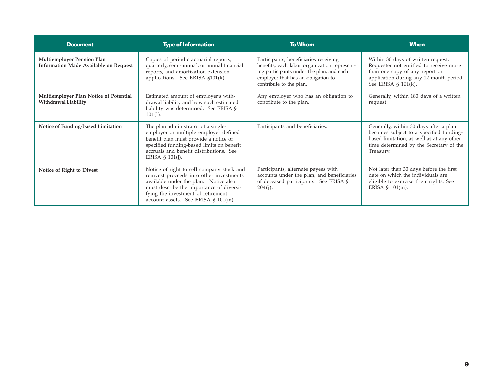| <b>Document</b>                                                                   | <b>Type of Information</b>                                                                                                                                                                                                                              | <b>To Whom</b>                                                                                                                                                                                      | <b>When</b>                                                                                                                                                                            |
|-----------------------------------------------------------------------------------|---------------------------------------------------------------------------------------------------------------------------------------------------------------------------------------------------------------------------------------------------------|-----------------------------------------------------------------------------------------------------------------------------------------------------------------------------------------------------|----------------------------------------------------------------------------------------------------------------------------------------------------------------------------------------|
| <b>Multiemployer Pension Plan</b><br><b>Information Made Available on Request</b> | Copies of periodic actuarial reports,<br>quarterly, semi-annual, or annual financial<br>reports, and amortization extension<br>applications. See ERISA §101(k).                                                                                         | Participants, beneficiaries receiving<br>benefits, each labor organization represent-<br>ing participants under the plan, and each<br>employer that has an obligation to<br>contribute to the plan. | Within 30 days of written request.<br>Requester not entitled to receive more<br>than one copy of any report or<br>application during any 12-month period.<br>See ERISA $\S$ 101(k).    |
| Multiemployer Plan Notice of Potential<br>Withdrawal Liability                    | Estimated amount of employer's with-<br>drawal liability and how such estimated<br>liability was determined. See ERISA §<br>$101(1)$ .                                                                                                                  | Any employer who has an obligation to<br>contribute to the plan.                                                                                                                                    | Generally, within 180 days of a written<br>request.                                                                                                                                    |
| Notice of Funding-based Limitation                                                | The plan administrator of a single-<br>employer or multiple employer defined<br>benefit plan must provide a notice of<br>specified funding-based limits on benefit<br>accruals and benefit distributions. See<br>ERISA $\S$ 101(j).                     | Participants and beneficiaries.                                                                                                                                                                     | Generally, within 30 days after a plan<br>becomes subject to a specified funding-<br>based limitation, as well as at any other<br>time determined by the Secretary of the<br>Treasury. |
| Notice of Right to Divest                                                         | Notice of right to sell company stock and<br>reinvest proceeds into other investments<br>available under the plan. Notice also<br>must describe the importance of diversi-<br>fying the investment of retirement<br>account assets. See ERISA § 101(m). | Participants, alternate payees with<br>accounts under the plan, and beneficiaries<br>of deceased participants. See ERISA §<br>$204(i)$ .                                                            | Not later than 30 days before the first<br>date on which the individuals are<br>eligible to exercise their rights. See<br>ERISA $\S$ 101(m).                                           |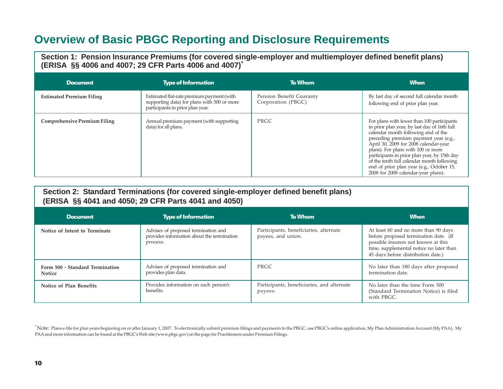## **Overview of Basic PBGC Reporting and Disclosure Requirements**

**Section 1: Pension Insurance Premiums (for covered single-employer and multiemployer defined benefit plans) (ERISA §§ 4006 and 4007; 29 CFR Parts 4006 and 4007)\***

| <b>Document</b>                     | <b>Type of Information</b>                                                                                                   | <b>To Whom</b>                                 | <b>When</b>                                                                                                                                                                                                                                                                                                                                                                                                                                 |
|-------------------------------------|------------------------------------------------------------------------------------------------------------------------------|------------------------------------------------|---------------------------------------------------------------------------------------------------------------------------------------------------------------------------------------------------------------------------------------------------------------------------------------------------------------------------------------------------------------------------------------------------------------------------------------------|
| <b>Estimated Premium Filing</b>     | Estimated flat-rate premium payment (with<br>supporting data) for plans with 500 or more<br>participants in prior plan year. | Pension Benefit Guaranty<br>Corporation (PBGC) | By last day of second full calendar month<br>following end of prior plan year.                                                                                                                                                                                                                                                                                                                                                              |
| <b>Comprehensive Premium Filing</b> | Annual premium payment (with supporting<br>data) for all plans.                                                              | PBGC                                           | For plans with fewer than 100 participants<br>in prior plan year, by last day of 16th full<br>calendar month following end of the<br>preceding premium payment year (e.g.,<br>April 30, 2009 for 2008 calendar-year<br>plans). For plans with 100 or more<br>participants in prior plan year, by 15th day<br>of the tenth full calendar month following<br>end of prior plan year (e.g., October 15,<br>2008 for 2008 calendar-year plans). |

| Section 2: Standard Terminations (for covered single-employer defined benefit plans) |  |
|--------------------------------------------------------------------------------------|--|
| (ERISA §§ 4041 and 4050; 29 CFR Parts 4041 and 4050)                                 |  |

| <b>Document</b>                                  | <b>Type of Information</b>                                                                    | <b>To Whom</b>                                               | <b>When</b>                                                                                                                                                                                           |
|--------------------------------------------------|-----------------------------------------------------------------------------------------------|--------------------------------------------------------------|-------------------------------------------------------------------------------------------------------------------------------------------------------------------------------------------------------|
| Notice of Intent to Terminate                    | Advises of proposed termination and<br>provides information about the termination<br>process. | Participants, beneficiaries, alternate<br>payees, and union. | At least 60 and no more than 90 days<br>before proposed termination date. (If<br>possible insurers not known at this<br>time, supplemental notice no later than<br>45 days before distribution date.) |
| Form 500 - Standard Termination<br><b>Notice</b> | Advises of proposed termination and<br>provides plan data.                                    | <b>PBGC</b>                                                  | No later than 180 days after proposed<br>termination date.                                                                                                                                            |
| Notice of Plan Benefits                          | Provides information on each person's<br>benefits.                                            | Participants, beneficiaries, and alternate<br>payees.        | No later than the time Form 500<br>(Standard Termination Notice) is filed<br>with PBGC.                                                                                                               |

<sup>\*</sup> Note: Plans e-file for plan years beginning on or after January 1, 2007. To electronically submit premium filings and payments to the PBGC, use PBGC's online application, My Plan Administration Account (My PAA). My PAA and more information can be found at the PBGC's Web site (www.pbgc.gov) on the page for Practitioners under Premium Filings.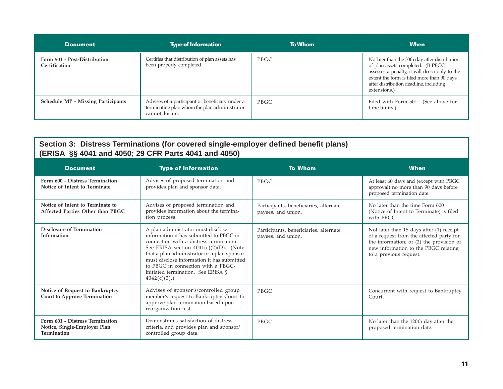| <b>Document</b>                               | <b>Type of Information</b>                                                                                        | <b>To Whom</b> | <b>When</b>                                                                                                                                                                                                                                  |
|-----------------------------------------------|-------------------------------------------------------------------------------------------------------------------|----------------|----------------------------------------------------------------------------------------------------------------------------------------------------------------------------------------------------------------------------------------------|
| Form 501 - Post-Distribution<br>Certification | Certifies that distribution of plan assets has<br>been properly completed.                                        | <b>PBGC</b>    | No later than the 30th day after distribution<br>of plan assets completed. (If PBGC<br>assesses a penalty, it will do so only to the<br>extent the form is filed more than 90 days<br>after distribution deadline, including<br>extensions.) |
| <b>Schedule MP - Missing Participants</b>     | Advises of a participant or beneficiary under a<br>terminating plan whom the plan administrator<br>cannot locate. | <b>PBGC</b>    | Filed with Form 501. (See above for<br>time limits.)                                                                                                                                                                                         |

#### **Section 3: Distress Terminations (for covered single-employer defined benefit plans) (ERISA §§ 4041 and 4050; 29 CFR Parts 4041 and 4050)**

| <b>Document</b>                                                                | <b>Type of Information</b>                                                                                                                                                                                                                                                                                                                                        | <b>To Whom</b>                                               | <b>When</b>                                                                                                                                                                                        |
|--------------------------------------------------------------------------------|-------------------------------------------------------------------------------------------------------------------------------------------------------------------------------------------------------------------------------------------------------------------------------------------------------------------------------------------------------------------|--------------------------------------------------------------|----------------------------------------------------------------------------------------------------------------------------------------------------------------------------------------------------|
| Form 600 - Distress Termination<br>Notice of Intent to Terminate               | Advises of proposed termination and<br>provides plan and sponsor data.                                                                                                                                                                                                                                                                                            | <b>PBGC</b>                                                  | At least 60 days and (except with PBGC<br>approval) no more than 90 days before<br>proposed termination date.                                                                                      |
| Notice of Intent to Terminate to<br>Affected Parties Other than PBGC           | Advises of proposed termination and<br>provides information about the termina-<br>tion process.                                                                                                                                                                                                                                                                   | Participants, beneficiaries, alternate<br>payees, and union. | No later than the time Form 600<br>(Notice of Intent to Terminate) is filed<br>with PBGC.                                                                                                          |
| <b>Disclosure of Termination</b><br>Information                                | A plan administrator must disclose<br>information it has submitted to PBGC in<br>connection with a distress termination.<br>See ERISA section $4041(c)(2)(D)$ . (Note<br>that a plan administrator or a plan sponsor<br>must disclose information it has submitted<br>to PBGC in connection with a PBGC-<br>initiated termination. See ERISA §<br>$4042(c)(3)$ .) | Participants, beneficiaries, alternate<br>payees, and union. | Not later than 15 days after (1) receipt<br>of a request from the affected party for<br>the information; or (2) the provision of<br>new information to the PBGC relating<br>to a previous request. |
| Notice of Request to Bankruptcy<br><b>Court to Approve Termination</b>         | Advises of sponsor's/controlled group<br>member's request to Bankruptcy Court to<br>approve plan termination based upon<br>reorganization test.                                                                                                                                                                                                                   | PBGC                                                         | Concurrent with request to Bankruptcy<br>Court.                                                                                                                                                    |
| Form 601 - Distress Termination<br>Notice, Single-Employer Plan<br>Termination | Demonstrates satisfaction of distress<br>criteria, and provides plan and sponsor/<br>controlled group data.                                                                                                                                                                                                                                                       | <b>PBGC</b>                                                  | No later than the 120th day after the<br>proposed termination date.                                                                                                                                |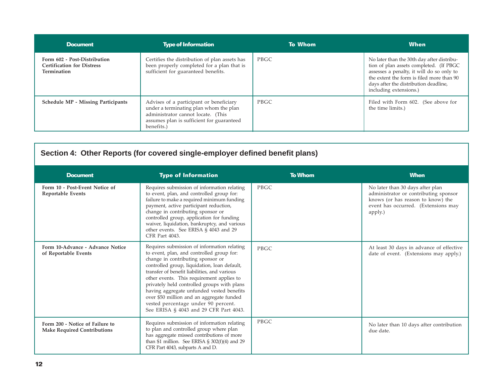| Document                                                                         | <b>Type of Information</b>                                                                                                                                                         | <b>To Whom</b> | <b>When</b>                                                                                                                                                                                                                                        |
|----------------------------------------------------------------------------------|------------------------------------------------------------------------------------------------------------------------------------------------------------------------------------|----------------|----------------------------------------------------------------------------------------------------------------------------------------------------------------------------------------------------------------------------------------------------|
| Form 602 - Post-Distribution<br><b>Certification for Distress</b><br>Termination | Certifies the distribution of plan assets has<br>been properly completed for a plan that is<br>sufficient for guaranteed benefits.                                                 | <b>PBGC</b>    | No later than the 30th day after distribu-<br>tion of plan assets completed. (If PBGC<br>assesses a penalty, it will do so only to<br>the extent the form is filed more than 90<br>days after the distribution deadline,<br>including extensions.) |
| <b>Schedule MP - Missing Participants</b>                                        | Advises of a participant or beneficiary<br>under a terminating plan whom the plan<br>administrator cannot locate. (This<br>assumes plan is sufficient for guaranteed<br>benefits.) | PBGC           | Filed with Form 602. (See above for<br>the time limits.)                                                                                                                                                                                           |

| Section 4: Other Reports (for covered single-employer defined benefit plans) |                                                                                                                                                                                                                                                                                                                                                                                                                                                                                                      |                |                                                                                                                                                                  |  |
|------------------------------------------------------------------------------|------------------------------------------------------------------------------------------------------------------------------------------------------------------------------------------------------------------------------------------------------------------------------------------------------------------------------------------------------------------------------------------------------------------------------------------------------------------------------------------------------|----------------|------------------------------------------------------------------------------------------------------------------------------------------------------------------|--|
| <b>Document</b>                                                              | <b>Type of Information</b>                                                                                                                                                                                                                                                                                                                                                                                                                                                                           | <b>To Whom</b> | <b>When</b>                                                                                                                                                      |  |
| Form 10 - Post-Event Notice of<br><b>Reportable Events</b>                   | Requires submission of information relating<br>to event, plan, and controlled group for:<br>failure to make a required minimum funding<br>payment, active participant reduction,<br>change in contributing sponsor or<br>controlled group, application for funding<br>waiver, liquidation, bankruptcy, and various<br>other events. See ERISA § 4043 and 29<br><b>CFR Part 4043.</b>                                                                                                                 | PBGC           | No later than 30 days after plan<br>administrator or contributing sponsor<br>knows (or has reason to know) the<br>event has occurred. (Extensions may<br>apply.) |  |
| Form 10-Advance - Advance Notice<br>of Reportable Events                     | Requires submission of information relating<br>to event, plan, and controlled group for:<br>change in contributing sponsor or<br>controlled group, liquidation, loan default,<br>transfer of benefit liabilities, and various<br>other events. This requirement applies to<br>privately held controlled groups with plans<br>having aggregate unfunded vested benefits<br>over \$50 million and an aggregate funded<br>vested percentage under 90 percent.<br>See ERISA § 4043 and 29 CFR Part 4043. | PBGC           | At least 30 days in advance of effective<br>date of event. (Extensions may apply.)                                                                               |  |
| Form 200 - Notice of Failure to<br><b>Make Required Contributions</b>        | Requires submission of information relating<br>to plan and controlled group where plan<br>has aggregate missed contributions of more<br>than \$1 million. See ERISA $\S$ 302(f)(4) and 29<br>CFR Part 4043, subparts A and D.                                                                                                                                                                                                                                                                        | PBGC           | No later than 10 days after contribution<br>due date.                                                                                                            |  |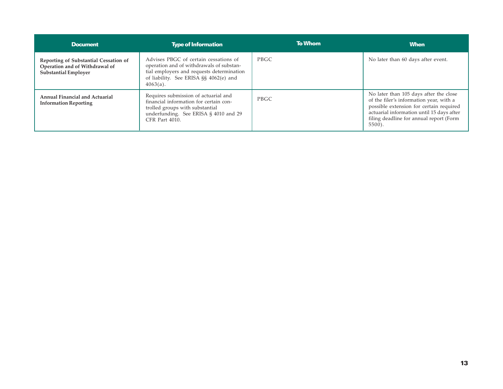| <b>Document</b>                                                                                        | <b>Type of Information</b>                                                                                                                                                              | To Whom     | <b>When</b>                                                                                                                                                                                                                       |
|--------------------------------------------------------------------------------------------------------|-----------------------------------------------------------------------------------------------------------------------------------------------------------------------------------------|-------------|-----------------------------------------------------------------------------------------------------------------------------------------------------------------------------------------------------------------------------------|
| Reporting of Substantial Cessation of<br>Operation and of Withdrawal of<br><b>Substantial Employer</b> | Advises PBGC of certain cessations of<br>operation and of withdrawals of substan-<br>tial employers and requests determination<br>of liability. See ERISA §§ 4062(e) and<br>$4063(a)$ . | <b>PBGC</b> | No later than 60 days after event.                                                                                                                                                                                                |
| Annual Financial and Actuarial<br><b>Information Reporting</b>                                         | Requires submission of actuarial and<br>financial information for certain con-<br>trolled groups with substantial<br>underfunding. See ERISA § 4010 and 29<br>CFR Part 4010.            | <b>PBGC</b> | No later than 105 days after the close<br>of the filer's information year, with a<br>possible extension for certain required<br>actuarial information until 15 days after<br>filing deadline for annual report (Form<br>$5500$ ). |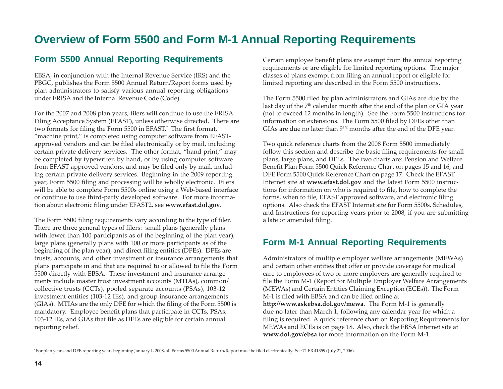## **Overview of Form 5500 and Form M-1 Annual Reporting Requirements**

### **Form 5500 Annual Reporting Requirements**

EBSA, in conjunction with the Internal Revenue Service (IRS) and the PBGC, publishes the Form 5500 Annual Return/Report forms used by plan administrators to satisfy various annual reporting obligations under ERISA and the Internal Revenue Code (Code).

For the 2007 and 2008 plan years, filers will continue to use the ERISA Filing Acceptance System (EFAST), unless otherwise directed. There are two formats for filing the Form 5500 in EFAST.\* The first format, "machine print," is completed using computer software from EFASTapproved vendors and can be filed electronically or by mail, including certain private delivery services. The other format, "hand print," may be completed by typewriter, by hand, or by using computer software from EFAST approved vendors, and may be filed only by mail, including certain private delivery services. Beginning in the 2009 reporting year, Form 5500 filing and processing will be wholly electronic. Filers will be able to complete Form 5500s online using a Web-based interface or continue to use third-party developed software. For more information about electronic filing under EFAST2, see **www.efast.dol.gov**.

The Form 5500 filing requirements vary according to the type of filer. There are three general types of filers: small plans (generally plans with fewer than 100 participants as of the beginning of the plan year); large plans (generally plans with 100 or more participants as of the beginning of the plan year); and direct filing entities (DFEs). DFEs are trusts, accounts, and other investment or insurance arrangements that plans participate in and that are required to or allowed to file the Form 5500 directly with EBSA. These investment and insurance arrangements include master trust investment accounts (MTIAs), common/ collective trusts (CCTs), pooled separate accounts (PSAs), 103-12 investment entities (103-12 IEs), and group insurance arrangements (GIAs). MTIAs are the only DFE for which the filing of the Form 5500 is mandatory. Employee benefit plans that participate in CCTs, PSAs, 103-12 IEs, and GIAs that file as DFEs are eligible for certain annual reporting relief.

Certain employee benefit plans are exempt from the annual reporting requirements or are eligible for limited reporting options. The major classes of plans exempt from filing an annual report or eligible for limited reporting are described in the Form 5500 instructions.

The Form 5500 filed by plan administrators and GIAs are due by the last day of the 7<sup>th</sup> calendar month after the end of the plan or GIA year (not to exceed 12 months in length). See the Form 5500 instructions for information on extensions. The Form 5500 filed by DFEs other than GIAs are due no later than  $9^{1/2}$  months after the end of the DFE year.

Two quick reference charts from the 2008 Form 5500 immediately follow this section and describe the basic filing requirements for small plans, large plans, and DFEs. The two charts are: Pension and Welfare Benefit Plan Form 5500 Quick Reference Chart on pages 15 and 16, and DFE Form 5500 Quick Reference Chart on page 17. Check the EFAST Internet site at **www.efast.dol.gov** and the latest Form 5500 instructions for information on who is required to file, how to complete the forms, when to file, EFAST approved software, and electronic filing options. Also check the EFAST Internet site for Form 5500s, Schedules, and Instructions for reporting years prior to 2008, if you are submitting a late or amended filing.

### **Form M-1 Annual Reporting Requirements**

Administrators of multiple employer welfare arrangements (MEWAs) and certain other entities that offer or provide coverage for medical care to employees of two or more employers are generally required to file the Form M-1 (Report for Multiple Employer Welfare Arrangements (MEWAs) and Certain Entities Claiming Exception (ECEs)). The Form M-1 is filed with EBSA and can be filed online at **http://www.askebsa.dol.gov/mewa**. The Form M-1 is generally due no later than March 1, following any calendar year for which a filing is required. A quick reference chart on Reporting Requirements for MEWAs and ECEs is on page 18. Also, check the EBSA Internet site at **www.dol.gov/ebsa** for more information on the Form M-1.

\* For plan years and DFE reporting years beginning January 1, 2008, all Forms 5500 Annual Return/Report must be filed electronically. See 71 FR 41359 (July 21, 2006).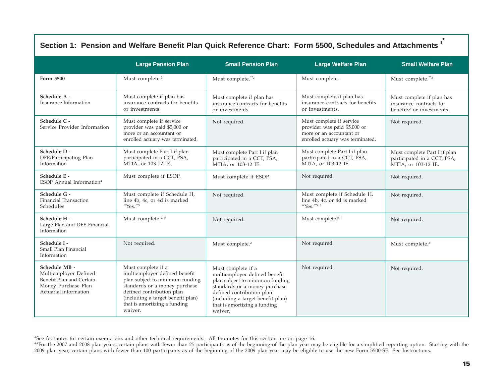| Section 1: Pension and Welfare Benefit Plan Quick Reference Chart: Form 5500, Schedules and Attachments <sup>1</sup> |                                                                                                                                                                                                                                      |                                                                                                                                                                                                                                      |                                                                                                                          |                                                                                               |
|----------------------------------------------------------------------------------------------------------------------|--------------------------------------------------------------------------------------------------------------------------------------------------------------------------------------------------------------------------------------|--------------------------------------------------------------------------------------------------------------------------------------------------------------------------------------------------------------------------------------|--------------------------------------------------------------------------------------------------------------------------|-----------------------------------------------------------------------------------------------|
|                                                                                                                      | <b>Large Pension Plan</b>                                                                                                                                                                                                            | <b>Small Pension Plan</b>                                                                                                                                                                                                            | <b>Large Welfare Plan</b>                                                                                                | <b>Small Welfare Plan</b>                                                                     |
| Form 5500                                                                                                            | Must complete. <sup>2</sup>                                                                                                                                                                                                          | Must complete.**2                                                                                                                                                                                                                    | Must complete.                                                                                                           | Must complete."3                                                                              |
| Schedule A -<br>Insurance Information                                                                                | Must complete if plan has<br>insurance contracts for benefits<br>or investments.                                                                                                                                                     | Must complete if plan has<br>insurance contracts for benefits<br>or investments.                                                                                                                                                     | Must complete if plan has<br>insurance contracts for benefits<br>or investments.                                         | Must complete if plan has<br>insurance contracts for<br>benefits <sup>3</sup> or investments. |
| Schedule C -<br>Service Provider Information                                                                         | Must complete if service<br>provider was paid \$5,000 or<br>more or an accountant or<br>enrolled actuary was terminated.                                                                                                             | Not required.                                                                                                                                                                                                                        | Must complete if service<br>provider was paid \$5,000 or<br>more or an accountant or<br>enrolled actuary was terminated. | Not required.                                                                                 |
| Schedule D -<br>DFE/Participating Plan<br>Information                                                                | Must complete Part I if plan<br>participated in a CCT, PSA,<br>MTIA, or 103-12 IE.                                                                                                                                                   | Must complete Part I if plan<br>participated in a CCT, PSA,<br>MTIA, or 103-12 IE.                                                                                                                                                   | Must complete Part I if plan<br>participated in a CCT, PSA,<br>MTIA, or 103-12 IE.                                       | Must complete Part I if plan<br>participated in a CCT, PSA,<br>MTIA, or 103-12 IE.            |
| Schedule E -<br>ESOP Annual Information <sup>4</sup>                                                                 | Must complete if ESOP.                                                                                                                                                                                                               | Must complete if ESOP.                                                                                                                                                                                                               | Not required.                                                                                                            | Not required.                                                                                 |
| Schedule G -<br>Financial Transaction<br>Schedules                                                                   | Must complete if Schedule H,<br>line 4b, 4c, or 4d is marked<br>"Yes." <sup>5</sup>                                                                                                                                                  | Not required.                                                                                                                                                                                                                        | Must complete if Schedule H,<br>line 4b, 4c, or 4d is marked<br>"Yes." <sup>5, 6</sup>                                   | Not required.                                                                                 |
| Schedule H -<br>Large Plan and DFE Financial<br>Information                                                          | Must complete. <sup>2, 5</sup>                                                                                                                                                                                                       | Not required.                                                                                                                                                                                                                        | Must complete. <sup>5, 7</sup>                                                                                           | Not required.                                                                                 |
| Schedule I -<br>Small Plan Financial<br>Information                                                                  | Not required.                                                                                                                                                                                                                        | Must complete. <sup>2</sup>                                                                                                                                                                                                          | Not required.                                                                                                            | Must complete. <sup>3</sup>                                                                   |
| Schedule MB -<br>Multiemployer Defined<br>Benefit Plan and Certain<br>Money Purchase Plan<br>Actuarial Information   | Must complete if a<br>multiemployer defined benefit<br>plan subject to minimum funding<br>standards or a money purchase<br>defined contribution plan<br>(including a target benefit plan)<br>that is amortizing a funding<br>waiver. | Must complete if a<br>multiemployer defined benefit<br>plan subject to minimum funding<br>standards or a money purchase<br>defined contribution plan<br>(including a target benefit plan)<br>that is amortizing a funding<br>waiver. | Not required.                                                                                                            | Not required.                                                                                 |

\*See footnotes for certain exemptions and other technical requirements. All footnotes for this section are on page 16.

\*\*For the 2007 and 2008 plan years, certain plans with fewer than 25 participants as of the beginning of the plan year may be eligible for a simplified reporting option. Starting with the 2009 plan year, certain plans with fewer than 100 participants as of the beginning of the 2009 plan year may be eligible to use the new Form 5500-SF. See Instructions.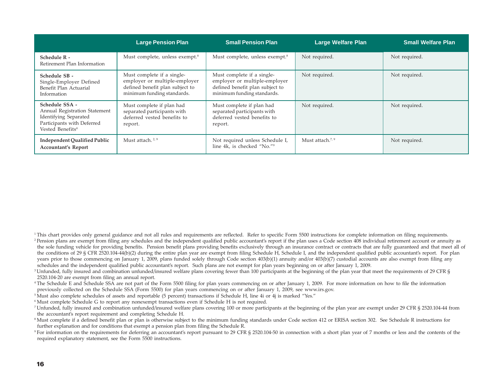|                                                                                                                                               | <b>Large Pension Plan</b>                                                                                                    | <b>Small Pension Plan</b>                                                                                                    | <b>Large Welfare Plan</b> | <b>Small Welfare Plan</b> |
|-----------------------------------------------------------------------------------------------------------------------------------------------|------------------------------------------------------------------------------------------------------------------------------|------------------------------------------------------------------------------------------------------------------------------|---------------------------|---------------------------|
| Schedule R -<br>Retirement Plan Information                                                                                                   | Must complete, unless exempt. <sup>8</sup>                                                                                   | Must complete, unless exempt. <sup>8</sup>                                                                                   | Not required.             | Not required.             |
| Schedule SB -<br>Single-Employer Defined<br>Benefit Plan Actuarial<br>Information                                                             | Must complete if a single-<br>employer or multiple-employer<br>defined benefit plan subject to<br>minimum funding standards. | Must complete if a single-<br>employer or multiple-employer<br>defined benefit plan subject to<br>minimum funding standards. | Not required.             | Not required.             |
| Schedule SSA -<br>Annual Registration Statement<br><b>Identifying Separated</b><br>Participants with Deferred<br>Vested Benefits <sup>4</sup> | Must complete if plan had<br>separated participants with<br>deferred vested benefits to<br>report.                           | Must complete if plan had<br>separated participants with<br>deferred vested benefits to<br>report.                           | Not required.             | Not required.             |
| <b>Independent Qualified Public</b><br><b>Accountant's Report</b>                                                                             | Must attach. <sup>2, 9</sup>                                                                                                 | Not required unless Schedule I,<br>line 4k, is checked "No."9                                                                | Must attach. $7,9$        | Not required.             |

- <sup>1</sup>This chart provides only general guidance and not all rules and requirements are reflected. Refer to specific Form 5500 instructions for complete information on filing requirements. <sup>2</sup> Pension plans are exempt from filing any schedules and the independent qualified public accountant's report if the plan uses a Code section 408 individual retirement account or annuity as the sole funding vehicle for providing benefits. Pension benefit plans providing benefits exclusively through an insurance contract or contracts that are fully guaranteed and that meet all of the conditions of 29 § CFR 2520.104-44(b)(2) during the entire plan year are exempt from filing Schedule H, Schedule I, and the independent qualified public accountant's report. For plan years prior to those commencing on January 1, 2009, plans funded solely through Code section 403(b)(1) annuity and/or 403(b)(7) custodial accounts are also exempt from filing any schedules and the independent qualified public accountant's report. Such plans are not exempt for plan years beginning on or after January 1, 2009.
- <sup>3</sup>Unfunded, fully insured and combination unfunded/insured welfare plans covering fewer than 100 participants at the beginning of the plan year that meet the requirements of 29 CFR § 2520.104-20 are exempt from filing an annual report.
- 4 The Schedule E and Schedule SSA are not part of the Form 5500 filing for plan years commencing on or after January 1, 2009. For more information on how to file the information previously collected on the Schedule SSA (Form 5500) for plan years commencing on or after January 1, 2009, see www.irs.gov.
- 5 Must also complete schedules of assets and reportable (5 percent) transactions if Schedule H, line 4i or 4j is marked "Yes."
- 6 Must complete Schedule G to report any nonexempt transactions even if Schedule H is not required.
- 7 Unfunded, fully insured and combination unfunded/insured welfare plans covering 100 or more participants at the beginning of the plan year are exempt under 29 CFR § 2520.104-44 from the accountant's report requirement and completing Schedule H.
- <sup>8</sup> Must complete if a defined benefit plan or plan is otherwise subject to the minimum funding standards under Code section 412 or ERISA section 302. See Schedule R instructions for further explanation and for conditions that exempt a pension plan from filing the Schedule R.
- <sup>9</sup> For information on the requirements for deferring an accountant's report pursuant to 29 CFR § 2520.104-50 in connection with a short plan year of 7 months or less and the contents of the required explanatory statement, see the Form 5500 instructions.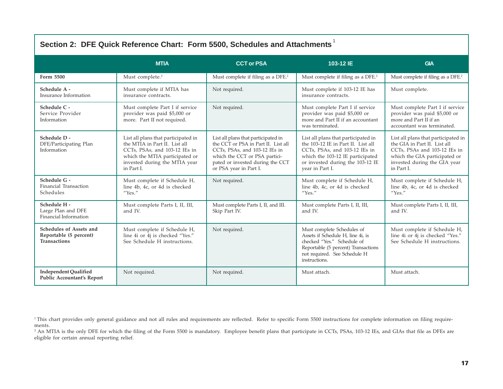| Section 2: DFE Quick Reference Chart: Form 5500, Schedules and Attachments |                                                                                                                                                                                        |                                                                                                                                                                                                            |                                                                                                                                                                                                       |                                                                                                                                                                                    |
|----------------------------------------------------------------------------|----------------------------------------------------------------------------------------------------------------------------------------------------------------------------------------|------------------------------------------------------------------------------------------------------------------------------------------------------------------------------------------------------------|-------------------------------------------------------------------------------------------------------------------------------------------------------------------------------------------------------|------------------------------------------------------------------------------------------------------------------------------------------------------------------------------------|
|                                                                            | <b>MTIA</b>                                                                                                                                                                            | <b>CCT or PSA</b>                                                                                                                                                                                          | 103-12 IE                                                                                                                                                                                             | <b>GIA</b>                                                                                                                                                                         |
| Form 5500                                                                  | Must complete. <sup>2</sup>                                                                                                                                                            | Must complete if filing as a DFE. <sup>2</sup>                                                                                                                                                             | Must complete if filing as a DFE. <sup>2</sup>                                                                                                                                                        | Must complete if filing as a DFE. <sup>2</sup>                                                                                                                                     |
| Schedule A -<br>Insurance Information                                      | Must complete if MTIA has<br>insurance contracts.                                                                                                                                      | Not required.                                                                                                                                                                                              | Must complete if 103-12 IE has<br>insurance contracts.                                                                                                                                                | Must complete.                                                                                                                                                                     |
| Schedule C -<br>Service Provider<br>Information                            | Must complete Part I if service<br>provider was paid \$5,000 or<br>more. Part II not required.                                                                                         | Not required.                                                                                                                                                                                              | Must complete Part I if service<br>provider was paid \$5,000 or<br>more and Part II if an accountant<br>was terminated.                                                                               | Must complete Part I if service<br>provider was paid \$5,000 or<br>more and Part II if an<br>accountant was terminated.                                                            |
| Schedule D -<br>DFE/Participating Plan<br>Information                      | List all plans that participated in<br>the MTIA in Part II. List all<br>CCTs, PSAs, and 103-12 IEs in<br>which the MTIA participated or<br>invested during the MTIA year<br>in Part I. | List all plans that participated in<br>the CCT or PSA in Part II. List all<br>CCTs, PSAs, and 103-12 IEs in<br>which the CCT or PSA partici-<br>pated or invested during the CCT<br>or PSA year in Part I. | List all plans that participated in<br>the 103-12 IE in Part II. List all<br>CCTs, PSAs, and 103-12 IEs in<br>which the 103-12 IE participated<br>or invested during the 103-12 IE<br>year in Part I. | List all plans that participated in<br>the GIA in Part II. List all<br>CCTs, PSAs and 103-12 IEs in<br>which the GIA participated or<br>invested during the GIA year<br>in Part I. |
| Schedule G -<br>Financial Transaction<br>Schedules                         | Must complete if Schedule H,<br>line 4b, 4c, or 4d is checked<br>$''$ Yes."                                                                                                            | Not required.                                                                                                                                                                                              | Must complete if Schedule H,<br>line 4b, 4c, or 4d is checked<br>$''$ Yes."                                                                                                                           | Must complete if Schedule H,<br>line 4b, 4c, or 4d is checked<br>''Yes.''                                                                                                          |
| Schedule H -<br>Large Plan and DFE<br>Financial Information                | Must complete Parts I, II, III,<br>and IV.                                                                                                                                             | Must complete Parts I, II, and III.<br>Skip Part IV.                                                                                                                                                       | Must complete Parts I, II, III,<br>and IV.                                                                                                                                                            | Must complete Parts I, II, III,<br>and IV.                                                                                                                                         |
| Schedules of Assets and<br>Reportable (5 percent)<br><b>Transactions</b>   | Must complete if Schedule H,<br>line 4i or 4j is checked "Yes."<br>See Schedule H instructions.                                                                                        | Not required.                                                                                                                                                                                              | Must complete Schedules of<br>Assets if Schedule H, line 4i, is<br>checked "Yes." Schedule of<br>Reportable (5 percent) Transactions<br>not required. See Schedule H<br>instructions.                 | Must complete if Schedule H,<br>line 4i or 4j is checked "Yes."<br>See Schedule H instructions.                                                                                    |
| <b>Independent Qualified</b><br>Public Accountant's Report                 | Not required.                                                                                                                                                                          | Not required.                                                                                                                                                                                              | Must attach.                                                                                                                                                                                          | Must attach.                                                                                                                                                                       |

<sup>2</sup> An MTIA is the only DFE for which the filing of the Form 5500 is mandatory. Employee benefit plans that participate in CCTs, PSAs, 103-12 IEs, and GIAs that file as DFEs are eligible for certain annual reporting relief.

<sup>&</sup>lt;sup>1</sup>This chart provides only general guidance and not all rules and requirements are reflected. Refer to specific Form 5500 instructions for complete information on filing requirements.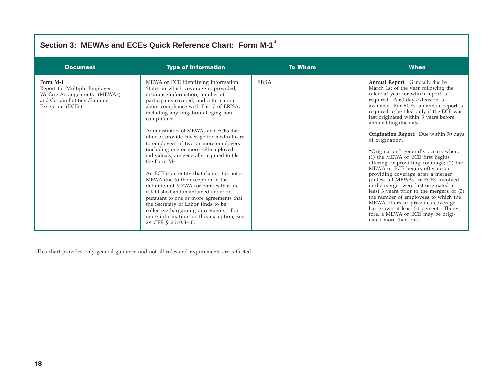| Section 3: MEWAs and ECEs Quick Reference Chart: Form M-1                                                                     |                                                                                                                                                                                                                                                                                                                                                                                                                                                                                                                                                                                                                                                                                                                                                                                                                                                                         |                |                                                                                                                                                                                                                                                                                                                                                                                                                                                                                                                                                                                                                                                                                                                                                                                                                                                                                                     |  |  |
|-------------------------------------------------------------------------------------------------------------------------------|-------------------------------------------------------------------------------------------------------------------------------------------------------------------------------------------------------------------------------------------------------------------------------------------------------------------------------------------------------------------------------------------------------------------------------------------------------------------------------------------------------------------------------------------------------------------------------------------------------------------------------------------------------------------------------------------------------------------------------------------------------------------------------------------------------------------------------------------------------------------------|----------------|-----------------------------------------------------------------------------------------------------------------------------------------------------------------------------------------------------------------------------------------------------------------------------------------------------------------------------------------------------------------------------------------------------------------------------------------------------------------------------------------------------------------------------------------------------------------------------------------------------------------------------------------------------------------------------------------------------------------------------------------------------------------------------------------------------------------------------------------------------------------------------------------------------|--|--|
| <b>Document</b>                                                                                                               | <b>Type of Information</b>                                                                                                                                                                                                                                                                                                                                                                                                                                                                                                                                                                                                                                                                                                                                                                                                                                              | <b>To Whom</b> | <b>When</b>                                                                                                                                                                                                                                                                                                                                                                                                                                                                                                                                                                                                                                                                                                                                                                                                                                                                                         |  |  |
| Form M-1<br>Report for Multiple Employer<br>Welfare Arrangements (MEWAs)<br>and Certain Entities Claiming<br>Exception (ECEs) | MEWA or ECE identifying information.<br>States in which coverage is provided,<br>insurance information, number of<br>participants covered, and information<br>about compliance with Part 7 of ERISA,<br>including any litigation alleging non-<br>compliance.<br>Administrators of MEWAs and ECEs that<br>offer or provide coverage for medical care<br>to employees of two or more employers<br>(including one or more self-employed<br>individuals) are generally required to file<br>the Form M-1.<br>An ECE is an entity that claims it is not a<br>MEWA due to the exception in the<br>definition of MEWA for entities that are<br>established and maintained under or<br>pursuant to one or more agreements that<br>the Secretary of Labor finds to be<br>collective bargaining agreements. For<br>more information on this exception, see<br>29 CFR § 2510.3-40. | <b>EBSA</b>    | <b>Annual Report:</b> Generally due by<br>March 1st of the year following the<br>calendar year for which report is<br>required. A 60-day extension is<br>available. For ECEs, an annual report is<br>required to be filed only if the ECE was<br>last originated within 3 years before<br>annual filing due date.<br><b>Origination Report:</b> Due within 90 days<br>of origination.<br>"Origination" generally occurs when:<br>(1) the MEWA or ECE first begins<br>offering or providing coverage; (2) the<br>MEWA or ECE begins offering or<br>providing coverage after a merger<br>(unless all MEWAs or ECEs involved<br>in the merger were last originated at<br>least 3 years prior to the merger); or (3)<br>the number of employees to which the<br>MEWA offers or provides coverage<br>has grown at least 50 percent. There-<br>fore, a MEWA or ECE may be origi-<br>nated more than once. |  |  |

<sup>1</sup> This chart provides only general guidance and not all rules and requirements are reflected.